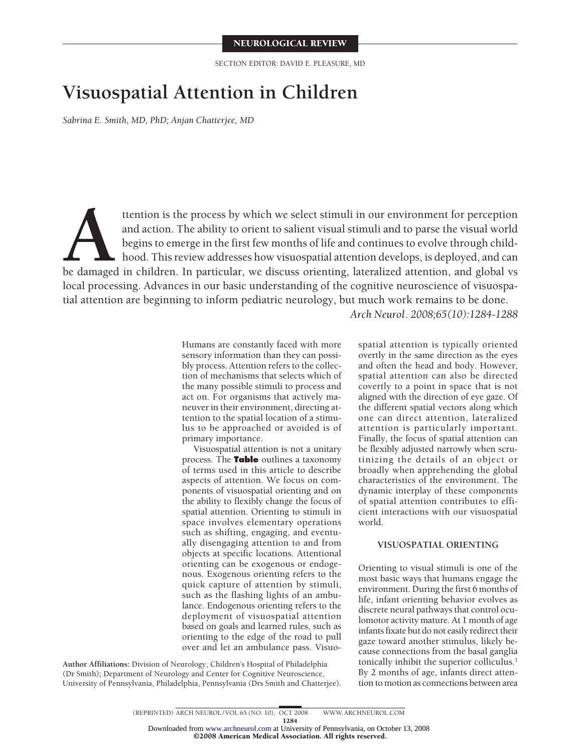SECTION EDITOR: DAVID E. PLEASURE, MD

# **Visuospatial Attention in Children**

*Sabrina E. Smith, MD, PhD; Anjan Chatterjee, MD*

ttention is the process by which we select stimuli in our environment for perception and action. The ability to orient to salient visual stimuli and to parse the visual world begins to emerge in the first few months of lif and action. The ability to orient to salient visual stimuli and to parse the visual world begins to emerge in the first few months of life and continues to evolve through childhood. This review addresses how visuospatial attention develops, is deployed, and can local processing. Advances in our basic understanding of the cognitive neuroscience of visuospatial attention are beginning to inform pediatric neurology, but much work remains to be done.

*Arch Neurol. 2008;65(10):1284-1288*

Humans are constantly faced with more sensory information than they can possibly process. Attention refers to the collection of mechanisms that selects which of the many possible stimuli to process and act on. For organisms that actively maneuver in their environment, directing attention to the spatial location of a stimulus to be approached or avoided is of primary importance.

Visuospatial attention is not a unitary process. The **Table** outlines a taxonomy of terms used in this article to describe aspects of attention. We focus on components of visuospatial orienting and on the ability to flexibly change the focus of spatial attention. Orienting to stimuli in space involves elementary operations such as shifting, engaging, and eventually disengaging attention to and from objects at specific locations. Attentional orienting can be exogenous or endogenous. Exogenous orienting refers to the quick capture of attention by stimuli, such as the flashing lights of an ambulance. Endogenous orienting refers to the deployment of visuospatial attention based on goals and learned rules, such as orienting to the edge of the road to pull over and let an ambulance pass. Visuo-

**Author Affiliations:** Division of Neurology, Children's Hospital of Philadelphia (Dr Smith); Department of Neurology and Center for Cognitive Neuroscience, University of Pennsylvania, Philadelphia, Pennsylvania (Drs Smith and Chatterjee). spatial attention is typically oriented overtly in the same direction as the eyes and often the head and body. However, spatial attention can also be directed covertly to a point in space that is not aligned with the direction of eye gaze. Of the different spatial vectors along which one can direct attention, lateralized attention is particularly important. Finally, the focus of spatial attention can be flexibly adjusted narrowly when scrutinizing the details of an object or broadly when apprehending the global characteristics of the environment. The dynamic interplay of these components of spatial attention contributes to efficient interactions with our visuospatial world.

## **VISUOSPATIAL ORIENTING**

Orienting to visual stimuli is one of the most basic ways that humans engage the environment. During the first 6 months of life, infant orienting behavior evolves as discrete neural pathways that control oculomotor activity mature. At 1 month of age infants fixate but do not easily redirect their gaze toward another stimulus, likely because connections from the basal ganglia tonically inhibit the superior colliculus.<sup>1</sup> By 2 months of age, infants direct attention to motion as connections between area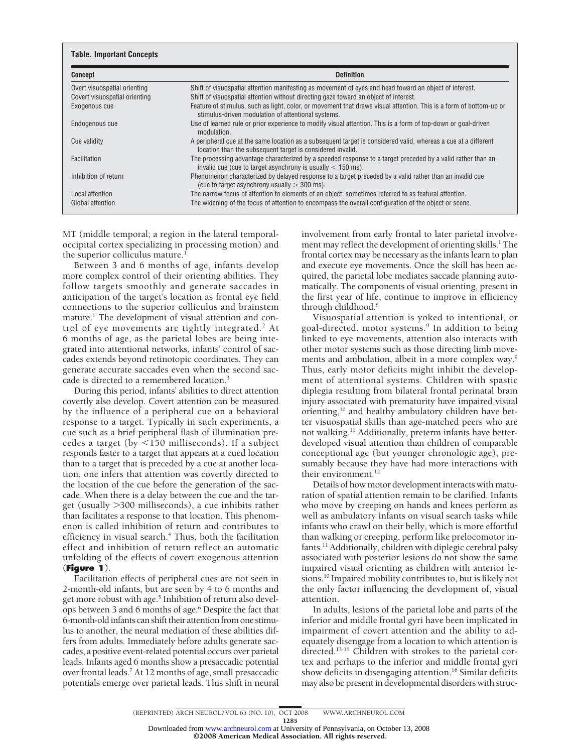| <b>Concept</b>                | <b>Definition</b>                                                                                                                                                            |
|-------------------------------|------------------------------------------------------------------------------------------------------------------------------------------------------------------------------|
| Overt visuospatial orienting  | Shift of visuospatial attention manifesting as movement of eyes and head toward an object of interest.                                                                       |
| Covert visuospatial orienting | Shift of visuospatial attention without directing gaze toward an object of interest.                                                                                         |
| Exogenous cue                 | Feature of stimulus, such as light, color, or movement that draws visual attention. This is a form of bottom-up or<br>stimulus-driven modulation of attentional systems.     |
| Endogenous cue                | Use of learned rule or prior experience to modify visual attention. This is a form of top-down or goal-driven<br>modulation.                                                 |
| Cue validity                  | A peripheral cue at the same location as a subsequent target is considered valid, whereas a cue at a different<br>location than the subsequent target is considered invalid. |
| Facilitation                  | The processing advantage characterized by a speeded response to a target preceded by a valid rather than an<br>invalid cue (cue to target asynchrony is usually $<$ 150 ms). |
| Inhibition of return          | Phenomenon characterized by delayed response to a target preceded by a valid rather than an invalid cue<br>(cue to target asynchrony usually $>$ 300 ms).                    |
| Local attention               | The narrow focus of attention to elements of an object; sometimes referred to as featural attention.                                                                         |
| <b>Global attention</b>       | The widening of the focus of attention to encompass the overall configuration of the object or scene.                                                                        |

MT (middle temporal; a region in the lateral temporaloccipital cortex specializing in processing motion) and the superior colliculus mature.<sup>1</sup>

Between 3 and 6 months of age, infants develop more complex control of their orienting abilities. They follow targets smoothly and generate saccades in anticipation of the target's location as frontal eye field connections to the superior colliculus and brainstem mature.<sup>1</sup> The development of visual attention and control of eye movements are tightly integrated.<sup>2</sup> At 6 months of age, as the parietal lobes are being integrated into attentional networks, infants' control of saccades extends beyond retinotopic coordinates. They can generate accurate saccades even when the second saccade is directed to a remembered location.3

During this period, infants' abilities to direct attention covertly also develop. Covert attention can be measured by the influence of a peripheral cue on a behavioral response to a target. Typically in such experiments, a cue such as a brief peripheral flash of illumination precedes a target (by  $\leq$ 150 milliseconds). If a subject responds faster to a target that appears at a cued location than to a target that is preceded by a cue at another location, one infers that attention was covertly directed to the location of the cue before the generation of the saccade. When there is a delay between the cue and the target (usually -300 milliseconds), a cue inhibits rather than facilitates a response to that location. This phenomenon is called inhibition of return and contributes to efficiency in visual search.<sup>4</sup> Thus, both the facilitation effect and inhibition of return reflect an automatic unfolding of the effects of covert exogenous attention (**Figure 1**).

Facilitation effects of peripheral cues are not seen in 2-month-old infants, but are seen by 4 to 6 months and get more robust with age.<sup>5</sup> Inhibition of return also develops between 3 and 6 months of age.6 Despite the fact that 6-month-old infants can shift their attention from one stimulus to another, the neural mediation of these abilities differs from adults. Immediately before adults generate saccades, a positive event-related potential occurs over parietal leads. Infants aged 6 months show a presaccadic potential over frontal leads.7 At 12 months of age, small presaccadic potentials emerge over parietal leads. This shift in neural involvement from early frontal to later parietal involvement may reflect the development of orienting skills.<sup>1</sup> The frontal cortex may be necessary as the infants learn to plan and execute eye movements. Once the skill has been acquired, the parietal lobe mediates saccade planning automatically. The components of visual orienting, present in the first year of life, continue to improve in efficiency through childhood.8

Visuospatial attention is yoked to intentional, or goal-directed, motor systems.9 In addition to being linked to eye movements, attention also interacts with other motor systems such as those directing limb movements and ambulation, albeit in a more complex way.<sup>9</sup> Thus, early motor deficits might inhibit the development of attentional systems. Children with spastic diplegia resulting from bilateral frontal perinatal brain injury associated with prematurity have impaired visual orienting,<sup>10</sup> and healthy ambulatory children have better visuospatial skills than age-matched peers who are not walking.<sup>11</sup> Additionally, preterm infants have betterdeveloped visual attention than children of comparable conceptional age (but younger chronologic age), presumably because they have had more interactions with their environment.<sup>12</sup>

Details of how motor development interacts with maturation of spatial attention remain to be clarified. Infants who move by creeping on hands and knees perform as well as ambulatory infants on visual search tasks while infants who crawl on their belly, which is more effortful than walking or creeping, perform like prelocomotor infants.<sup>11</sup> Additionally, children with diplegic cerebral palsy associated with posterior lesions do not show the same impaired visual orienting as children with anterior lesions.<sup>10</sup> Impaired mobility contributes to, but is likely not the only factor influencing the development of, visual attention.

In adults, lesions of the parietal lobe and parts of the inferior and middle frontal gyri have been implicated in impairment of covert attention and the ability to adequately disengage from a location to which attention is directed.13-15 Children with strokes to the parietal cortex and perhaps to the inferior and middle frontal gyri show deficits in disengaging attention.<sup>16</sup> Similar deficits may also be present in developmental disorders with struc-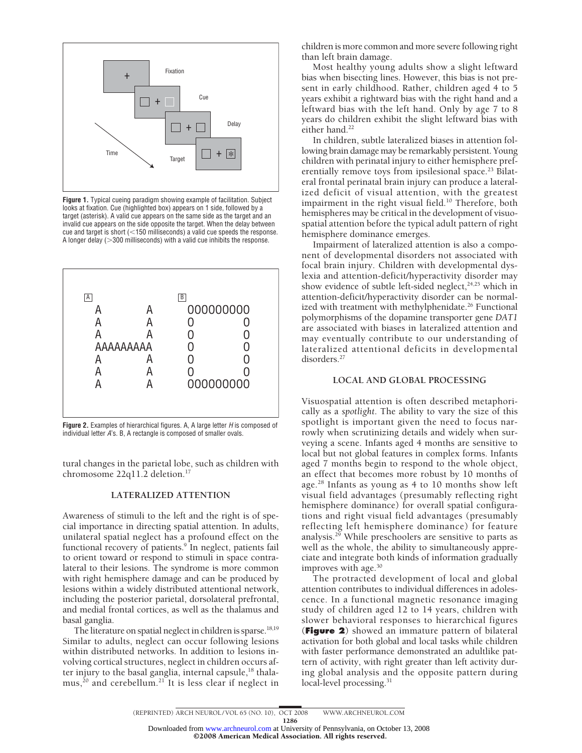

**Figure 1.** Typical cueing paradigm showing example of facilitation. Subject looks at fixation. Cue (highlighted box) appears on 1 side, followed by a target (asterisk). A valid cue appears on the same side as the target and an invalid cue appears on the side opposite the target. When the delay between cue and target is short ( $<$ 150 milliseconds) a valid cue speeds the response. A longer delay (>300 milliseconds) with a valid cue inhibits the response.



**Figure 2.** Examples of hierarchical figures. A, A large letter *H* is composed of individual letter *A*'s. B, A rectangle is composed of smaller ovals.

tural changes in the parietal lobe, such as children with chromosome 22q11.2 deletion.17

### **LATERALIZED ATTENTION**

Awareness of stimuli to the left and the right is of special importance in directing spatial attention. In adults, unilateral spatial neglect has a profound effect on the functional recovery of patients.<sup>9</sup> In neglect, patients fail to orient toward or respond to stimuli in space contralateral to their lesions. The syndrome is more common with right hemisphere damage and can be produced by lesions within a widely distributed attentional network, including the posterior parietal, dorsolateral prefrontal, and medial frontal cortices, as well as the thalamus and basal ganglia.

The literature on spatial neglect in children is sparse.<sup>18,19</sup> Similar to adults, neglect can occur following lesions within distributed networks. In addition to lesions involving cortical structures, neglect in children occurs after injury to the basal ganglia, internal capsule,<sup>18</sup> thala $mus<sub>1</sub><sup>20</sup>$  and cerebellum.<sup>21</sup> It is less clear if neglect in children is more common and more severe following right than left brain damage.

Most healthy young adults show a slight leftward bias when bisecting lines. However, this bias is not present in early childhood. Rather, children aged 4 to 5 years exhibit a rightward bias with the right hand and a leftward bias with the left hand. Only by age 7 to 8 years do children exhibit the slight leftward bias with either hand.<sup>22</sup>

In children, subtle lateralized biases in attention following brain damage may be remarkably persistent. Young children with perinatal injury to either hemisphere preferentially remove toys from ipsilesional space.<sup>23</sup> Bilateral frontal perinatal brain injury can produce a lateralized deficit of visual attention, with the greatest impairment in the right visual field.<sup>10</sup> Therefore, both hemispheres may be critical in the development of visuospatial attention before the typical adult pattern of right hemisphere dominance emerges.

Impairment of lateralized attention is also a component of developmental disorders not associated with focal brain injury. Children with developmental dyslexia and attention-deficit/hyperactivity disorder may show evidence of subtle left-sided neglect, $24,25$  which in attention-deficit/hyperactivity disorder can be normalized with treatment with methylphenidate.<sup>26</sup> Functional polymorphisms of the dopamine transporter gene *DAT1* are associated with biases in lateralized attention and may eventually contribute to our understanding of lateralized attentional deficits in developmental disorders.<sup>27</sup>

#### **LOCAL AND GLOBAL PROCESSING**

Visuospatial attention is often described metaphorically as a *spotlight*. The ability to vary the size of this spotlight is important given the need to focus narrowly when scrutinizing details and widely when surveying a scene. Infants aged 4 months are sensitive to local but not global features in complex forms. Infants aged 7 months begin to respond to the whole object, an effect that becomes more robust by 10 months of age.28 Infants as young as 4 to 10 months show left visual field advantages (presumably reflecting right hemisphere dominance) for overall spatial configurations and right visual field advantages (presumably reflecting left hemisphere dominance) for feature analysis.29 While preschoolers are sensitive to parts as well as the whole, the ability to simultaneously appreciate and integrate both kinds of information gradually improves with age.30

The protracted development of local and global attention contributes to individual differences in adolescence. In a functional magnetic resonance imaging study of children aged 12 to 14 years, children with slower behavioral responses to hierarchical figures (**Figure 2**) showed an immature pattern of bilateral activation for both global and local tasks while children with faster performance demonstrated an adultlike pattern of activity, with right greater than left activity during global analysis and the opposite pattern during local-level processing.<sup>31</sup>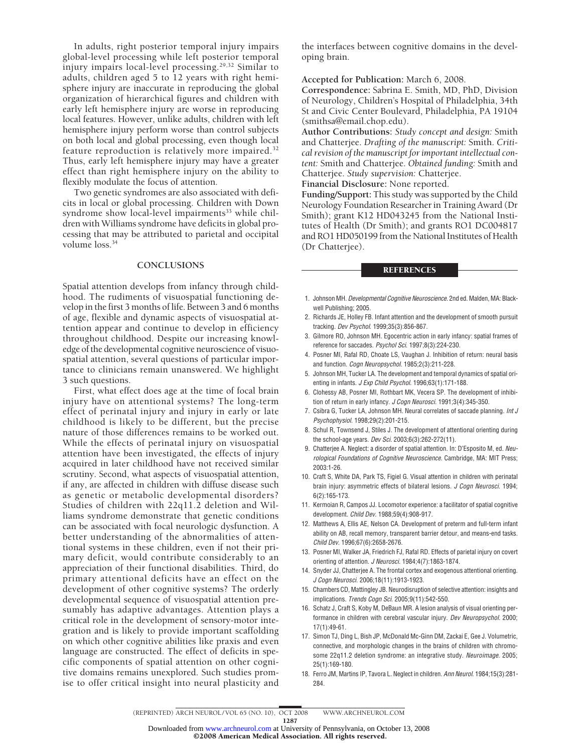In adults, right posterior temporal injury impairs global-level processing while left posterior temporal injury impairs local-level processing.29,32 Similar to adults, children aged 5 to 12 years with right hemisphere injury are inaccurate in reproducing the global organization of hierarchical figures and children with early left hemisphere injury are worse in reproducing local features. However, unlike adults, children with left hemisphere injury perform worse than control subjects on both local and global processing, even though local feature reproduction is relatively more impaired.32 Thus, early left hemisphere injury may have a greater effect than right hemisphere injury on the ability to flexibly modulate the focus of attention.

Two genetic syndromes are also associated with deficits in local or global processing. Children with Down syndrome show local-level impairments<sup>33</sup> while children with Williams syndrome have deficits in global processing that may be attributed to parietal and occipital volume loss.34

#### **CONCLUSIONS**

Spatial attention develops from infancy through childhood. The rudiments of visuospatial functioning develop in the first 3 months of life. Between 3 and 6 months of age, flexible and dynamic aspects of visuospatial attention appear and continue to develop in efficiency throughout childhood. Despite our increasing knowledge of the developmental cognitive neuroscience of visuospatial attention, several questions of particular importance to clinicians remain unanswered. We highlight 3 such questions.

First, what effect does age at the time of focal brain injury have on attentional systems? The long-term effect of perinatal injury and injury in early or late childhood is likely to be different, but the precise nature of those differences remains to be worked out. While the effects of perinatal injury on visuospatial attention have been investigated, the effects of injury acquired in later childhood have not received similar scrutiny. Second, what aspects of visuospatial attention, if any, are affected in children with diffuse disease such as genetic or metabolic developmental disorders? Studies of children with 22q11.2 deletion and Williams syndrome demonstrate that genetic conditions can be associated with focal neurologic dysfunction. A better understanding of the abnormalities of attentional systems in these children, even if not their primary deficit, would contribute considerably to an appreciation of their functional disabilities. Third, do primary attentional deficits have an effect on the development of other cognitive systems? The orderly developmental sequence of visuospatial attention presumably has adaptive advantages. Attention plays a critical role in the development of sensory-motor integration and is likely to provide important scaffolding on which other cognitive abilities like praxis and even language are constructed. The effect of deficits in specific components of spatial attention on other cognitive domains remains unexplored. Such studies promise to offer critical insight into neural plasticity and

the interfaces between cognitive domains in the developing brain.

**Accepted for Publication:** March 6, 2008.

**Correspondence:** Sabrina E. Smith, MD, PhD, Division of Neurology, Children's Hospital of Philadelphia, 34th St and Civic Center Boulevard, Philadelphia, PA 19104 (smithsa@email.chop.edu).

**Author Contributions:** *Study concept and design:* Smith and Chatterjee. *Drafting of the manuscript:* Smith. *Critical revision of the manuscript for important intellectual content:* Smith and Chatterjee. *Obtained funding:* Smith and Chatterjee. *Study supervision:* Chatterjee.

**Financial Disclosure:** None reported.

**Funding/Support:** This study was supported by the Child Neurology Foundation Researcher in Training Award (Dr Smith); grant K12 HD043245 from the National Institutes of Health (Dr Smith); and grants RO1 DC004817 and RO1 HD050199 from the National Institutes of Health (Dr Chatterjee).

#### **REFERENCES**

- 1. Johnson MH. *Developmental Cognitive Neuroscience.* 2nd ed. Malden, MA: Blackwell Publishing; 2005.
- 2. Richards JE, Holley FB. Infant attention and the development of smooth pursuit tracking. *Dev Psychol*. 1999;35(3):856-867.
- 3. Gilmore RO, Johnson MH. Egocentric action in early infancy: spatial frames of reference for saccades. *Psychol Sci*. 1997;8(3):224-230.
- 4. Posner MI, Rafal RD, Choate LS, Vaughan J. Inhibition of return: neural basis and function. *Cogn Neuropsychol*. 1985;2(3):211-228.
- 5. Johnson MH, Tucker LA. The development and temporal dynamics of spatial orienting in infants. *J Exp Child Psychol*. 1996;63(1):171-188.
- 6. Clohessy AB, Posner MI, Rothbart MK, Vecera SP. The development of inhibition of return in early infancy. *J Cogn Neurosci*. 1991;3(4):345-350.
- 7. Csibra G, Tucker LA, Johnson MH. Neural correlates of saccade planning. *Int J Psychophysiol*. 1998;29(2):201-215.
- 8. Schul R, Townsend J, Stiles J. The development of attentional orienting during the school-age years. *Dev Sci*. 2003;6(3):262-272(11).
- 9. Chatterjee A. Neglect: a disorder of spatial attention. In: D'Esposito M, ed. *Neurological Foundations of Cognitive Neuroscience.* Cambridge, MA: MIT Press; 2003:1-26.
- 10. Craft S, White DA, Park TS, Figiel G. Visual attention in children with perinatal brain injury: asymmetric effects of bilateral lesions. *J Cogn Neurosci*. 1994; 6(2):165-173.
- 11. Kermoian R, Campos JJ. Locomotor experience: a facilitator of spatial cognitive development. *Child Dev*. 1988;59(4):908-917.
- 12. Matthews A, Ellis AE, Nelson CA. Development of preterm and full-term infant ability on AB, recall memory, transparent barrier detour, and means-end tasks. *Child Dev*. 1996;67(6):2658-2676.
- 13. Posner MI, Walker JA, Friedrich FJ, Rafal RD. Effects of parietal injury on covert orienting of attention. *J Neurosci*. 1984;4(7):1863-1874.
- 14. Snyder JJ, Chatterjee A. The frontal cortex and exogenous attentional orienting. *J Cogn Neurosci*. 2006;18(11):1913-1923.
- 15. Chambers CD, Mattingley JB. Neurodisruption of selective attention: insights and implications. *Trends Cogn Sci*. 2005;9(11):542-550.
- 16. Schatz J, Craft S, Koby M, DeBaun MR. A lesion analysis of visual orienting performance in children with cerebral vascular injury. *Dev Neuropsychol*. 2000; 17(1):49-61.
- 17. Simon TJ, Ding L, Bish JP, McDonald Mc-Ginn DM, Zackai E, Gee J. Volumetric, connective, and morphologic changes in the brains of children with chromosome 22q11.2 deletion syndrome: an integrative study. *Neuroimage*. 2005; 25(1):169-180.
- 18. Ferro JM, Martins IP, Tavora L. Neglect in children. *Ann Neurol*. 1984;15(3):281- 284.